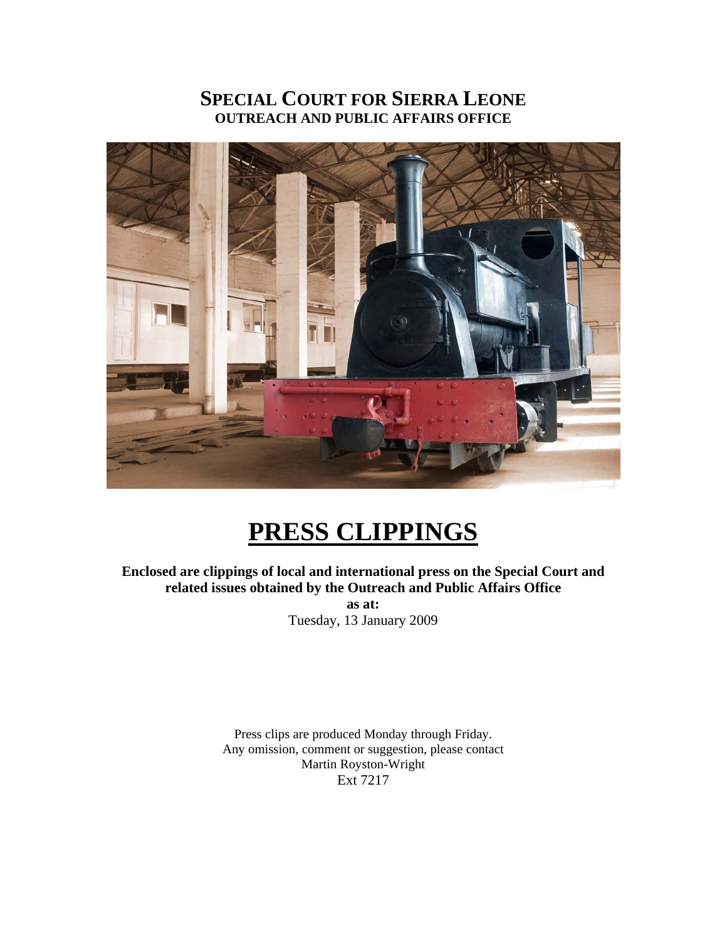# **SPECIAL COURT FOR SIERRA LEONE OUTREACH AND PUBLIC AFFAIRS OFFICE**



# **PRESS CLIPPINGS**

**Enclosed are clippings of local and international press on the Special Court and related issues obtained by the Outreach and Public Affairs Office as at:** 

Tuesday, 13 January 2009

Press clips are produced Monday through Friday. Any omission, comment or suggestion, please contact Martin Royston-Wright Ext 7217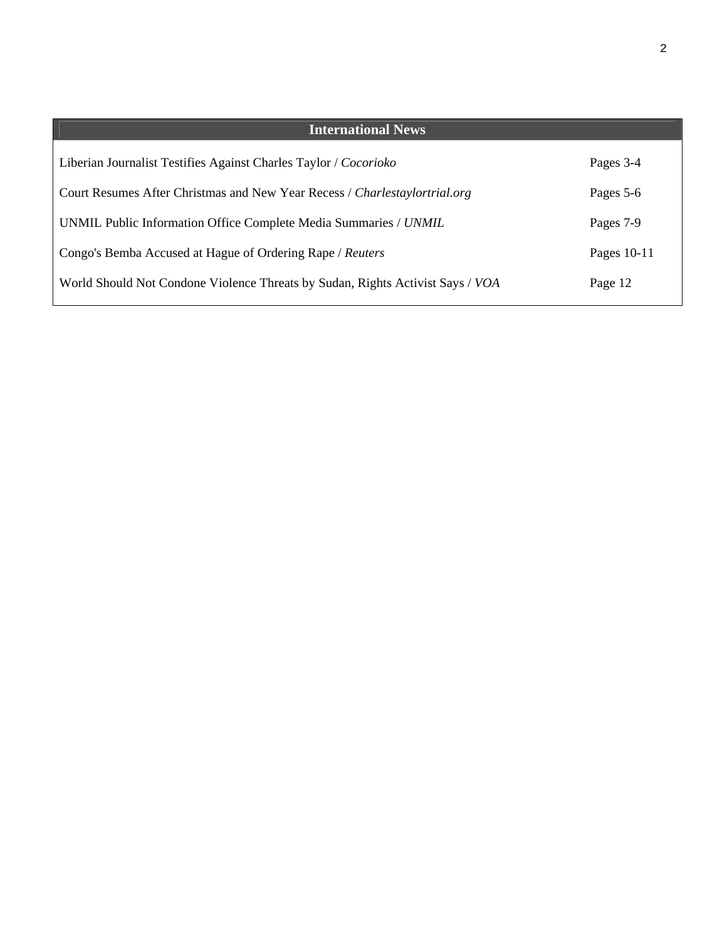| <b>International News</b>                                                      |             |
|--------------------------------------------------------------------------------|-------------|
| Liberian Journalist Testifies Against Charles Taylor / Cocorioko               | Pages 3-4   |
| Court Resumes After Christmas and New Year Recess / Charlestaylortrial.org     | Pages 5-6   |
| UNMIL Public Information Office Complete Media Summaries / UNMIL               | Pages 7-9   |
| Congo's Bemba Accused at Hague of Ordering Rape / Reuters                      | Pages 10-11 |
| World Should Not Condone Violence Threats by Sudan, Rights Activist Says / VOA | Page 12     |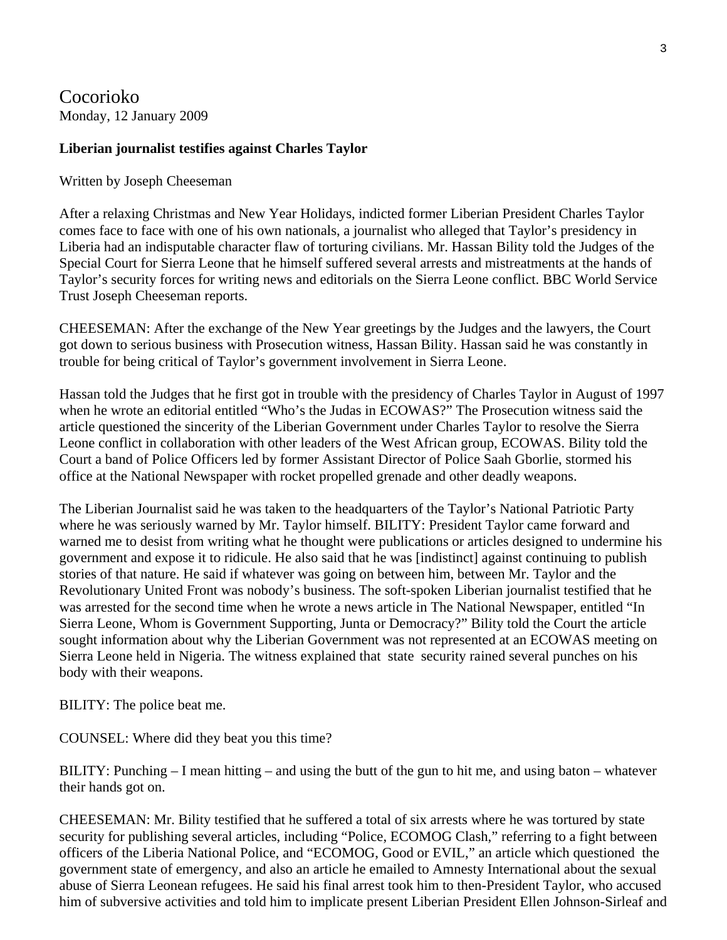Cocorioko Monday, 12 January 2009

#### **Liberian journalist testifies against Charles Taylor**

Written by Joseph Cheeseman

After a relaxing Christmas and New Year Holidays, indicted former Liberian President Charles Taylor comes face to face with one of his own nationals, a journalist who alleged that Taylor's presidency in Liberia had an indisputable character flaw of torturing civilians. Mr. Hassan Bility told the Judges of the Special Court for Sierra Leone that he himself suffered several arrests and mistreatments at the hands of Taylor's security forces for writing news and editorials on the Sierra Leone conflict. BBC World Service Trust Joseph Cheeseman reports.

CHEESEMAN: After the exchange of the New Year greetings by the Judges and the lawyers, the Court got down to serious business with Prosecution witness, Hassan Bility. Hassan said he was constantly in trouble for being critical of Taylor's government involvement in Sierra Leone.

Hassan told the Judges that he first got in trouble with the presidency of Charles Taylor in August of 1997 when he wrote an editorial entitled "Who's the Judas in ECOWAS?" The Prosecution witness said the article questioned the sincerity of the Liberian Government under Charles Taylor to resolve the Sierra Leone conflict in collaboration with other leaders of the West African group, ECOWAS. Bility told the Court a band of Police Officers led by former Assistant Director of Police Saah Gborlie, stormed his office at the National Newspaper with rocket propelled grenade and other deadly weapons.

The Liberian Journalist said he was taken to the headquarters of the Taylor's National Patriotic Party where he was seriously warned by Mr. Taylor himself. BILITY: President Taylor came forward and warned me to desist from writing what he thought were publications or articles designed to undermine his government and expose it to ridicule. He also said that he was [indistinct] against continuing to publish stories of that nature. He said if whatever was going on between him, between Mr. Taylor and the Revolutionary United Front was nobody's business. The soft-spoken Liberian journalist testified that he was arrested for the second time when he wrote a news article in The National Newspaper, entitled "In Sierra Leone, Whom is Government Supporting, Junta or Democracy?" Bility told the Court the article sought information about why the Liberian Government was not represented at an ECOWAS meeting on Sierra Leone held in Nigeria. The witness explained that state security rained several punches on his body with their weapons.

BILITY: The police beat me.

COUNSEL: Where did they beat you this time?

BILITY: Punching  $- I$  mean hitting – and using the butt of the gun to hit me, and using baton – whatever their hands got on.

CHEESEMAN: Mr. Bility testified that he suffered a total of six arrests where he was tortured by state security for publishing several articles, including "Police, ECOMOG Clash," referring to a fight between officers of the Liberia National Police, and "ECOMOG, Good or EVIL," an article which questioned the government state of emergency, and also an article he emailed to Amnesty International about the sexual abuse of Sierra Leonean refugees. He said his final arrest took him to then-President Taylor, who accused him of subversive activities and told him to implicate present Liberian President Ellen Johnson-Sirleaf and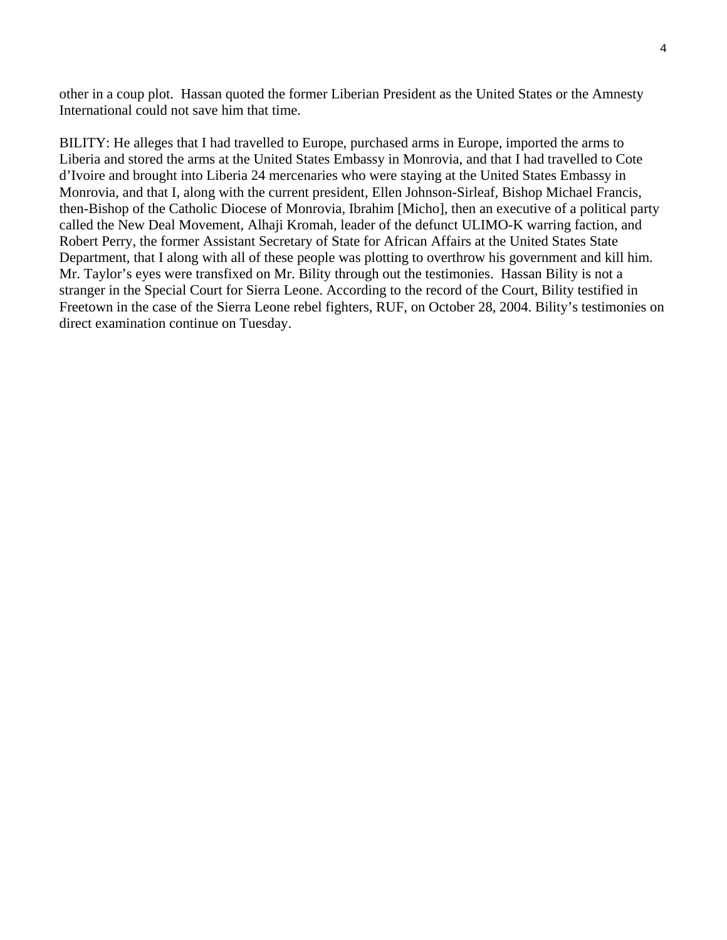other in a coup plot. Hassan quoted the former Liberian President as the United States or the Amnesty International could not save him that time.

BILITY: He alleges that I had travelled to Europe, purchased arms in Europe, imported the arms to Liberia and stored the arms at the United States Embassy in Monrovia, and that I had travelled to Cote d'Ivoire and brought into Liberia 24 mercenaries who were staying at the United States Embassy in Monrovia, and that I, along with the current president, Ellen Johnson-Sirleaf, Bishop Michael Francis, then-Bishop of the Catholic Diocese of Monrovia, Ibrahim [Micho], then an executive of a political party called the New Deal Movement, Alhaji Kromah, leader of the defunct ULIMO-K warring faction, and Robert Perry, the former Assistant Secretary of State for African Affairs at the United States State Department, that I along with all of these people was plotting to overthrow his government and kill him. Mr. Taylor's eyes were transfixed on Mr. Bility through out the testimonies. Hassan Bility is not a stranger in the Special Court for Sierra Leone. According to the record of the Court, Bility testified in Freetown in the case of the Sierra Leone rebel fighters, RUF, on October 28, 2004. Bility's testimonies on direct examination continue on Tuesday.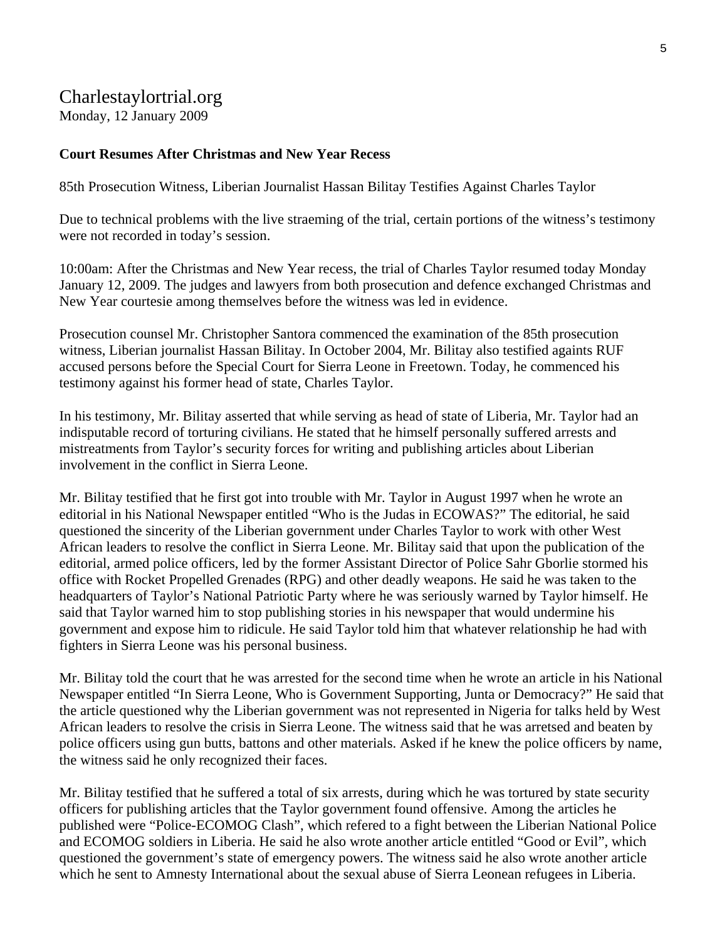# Charlestaylortrial.org

Monday, 12 January 2009

## **Court Resumes After Christmas and New Year Recess**

85th Prosecution Witness, Liberian Journalist Hassan Bilitay Testifies Against Charles Taylor

Due to technical problems with the live straeming of the trial, certain portions of the witness's testimony were not recorded in today's session.

10:00am: After the Christmas and New Year recess, the trial of Charles Taylor resumed today Monday January 12, 2009. The judges and lawyers from both prosecution and defence exchanged Christmas and New Year courtesie among themselves before the witness was led in evidence.

Prosecution counsel Mr. Christopher Santora commenced the examination of the 85th prosecution witness, Liberian journalist Hassan Bilitay. In October 2004, Mr. Bilitay also testified againts RUF accused persons before the Special Court for Sierra Leone in Freetown. Today, he commenced his testimony against his former head of state, Charles Taylor.

In his testimony, Mr. Bilitay asserted that while serving as head of state of Liberia, Mr. Taylor had an indisputable record of torturing civilians. He stated that he himself personally suffered arrests and mistreatments from Taylor's security forces for writing and publishing articles about Liberian involvement in the conflict in Sierra Leone.

Mr. Bilitay testified that he first got into trouble with Mr. Taylor in August 1997 when he wrote an editorial in his National Newspaper entitled "Who is the Judas in ECOWAS?" The editorial, he said questioned the sincerity of the Liberian government under Charles Taylor to work with other West African leaders to resolve the conflict in Sierra Leone. Mr. Bilitay said that upon the publication of the editorial, armed police officers, led by the former Assistant Director of Police Sahr Gborlie stormed his office with Rocket Propelled Grenades (RPG) and other deadly weapons. He said he was taken to the headquarters of Taylor's National Patriotic Party where he was seriously warned by Taylor himself. He said that Taylor warned him to stop publishing stories in his newspaper that would undermine his government and expose him to ridicule. He said Taylor told him that whatever relationship he had with fighters in Sierra Leone was his personal business.

Mr. Bilitay told the court that he was arrested for the second time when he wrote an article in his National Newspaper entitled "In Sierra Leone, Who is Government Supporting, Junta or Democracy?" He said that the article questioned why the Liberian government was not represented in Nigeria for talks held by West African leaders to resolve the crisis in Sierra Leone. The witness said that he was arretsed and beaten by police officers using gun butts, battons and other materials. Asked if he knew the police officers by name, the witness said he only recognized their faces.

Mr. Bilitay testified that he suffered a total of six arrests, during which he was tortured by state security officers for publishing articles that the Taylor government found offensive. Among the articles he published were "Police-ECOMOG Clash", which refered to a fight between the Liberian National Police and ECOMOG soldiers in Liberia. He said he also wrote another article entitled "Good or Evil", which questioned the government's state of emergency powers. The witness said he also wrote another article which he sent to Amnesty International about the sexual abuse of Sierra Leonean refugees in Liberia.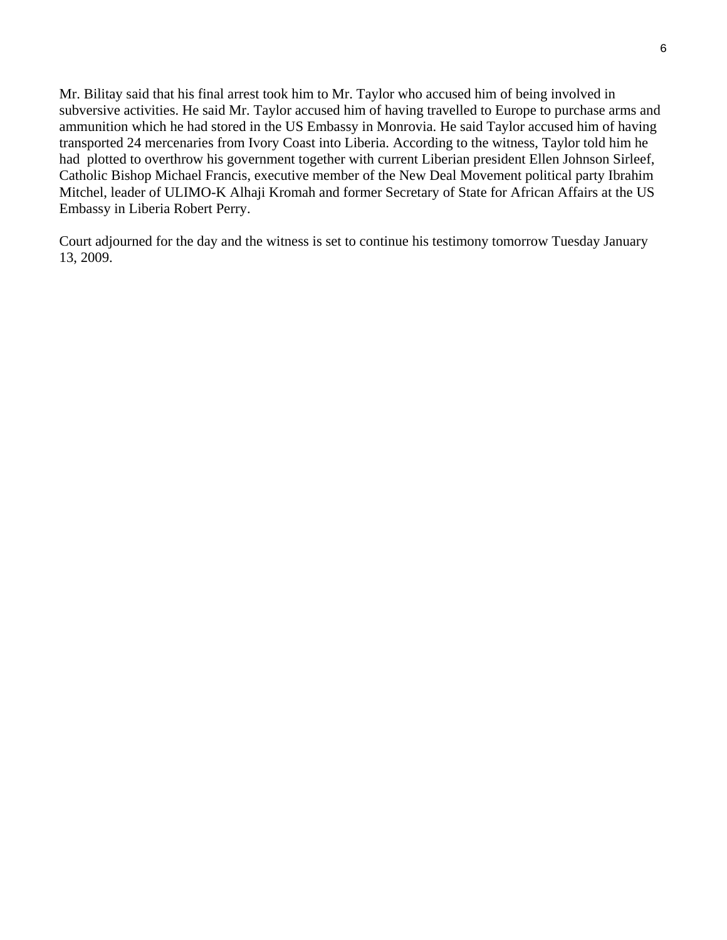Mr. Bilitay said that his final arrest took him to Mr. Taylor who accused him of being involved in subversive activities. He said Mr. Taylor accused him of having travelled to Europe to purchase arms and ammunition which he had stored in the US Embassy in Monrovia. He said Taylor accused him of having transported 24 mercenaries from Ivory Coast into Liberia. According to the witness, Taylor told him he had plotted to overthrow his government together with current Liberian president Ellen Johnson Sirleef, Catholic Bishop Michael Francis, executive member of the New Deal Movement political party Ibrahim Mitchel, leader of ULIMO-K Alhaji Kromah and former Secretary of State for African Affairs at the US Embassy in Liberia Robert Perry.

Court adjourned for the day and the witness is set to continue his testimony tomorrow Tuesday January 13, 2009.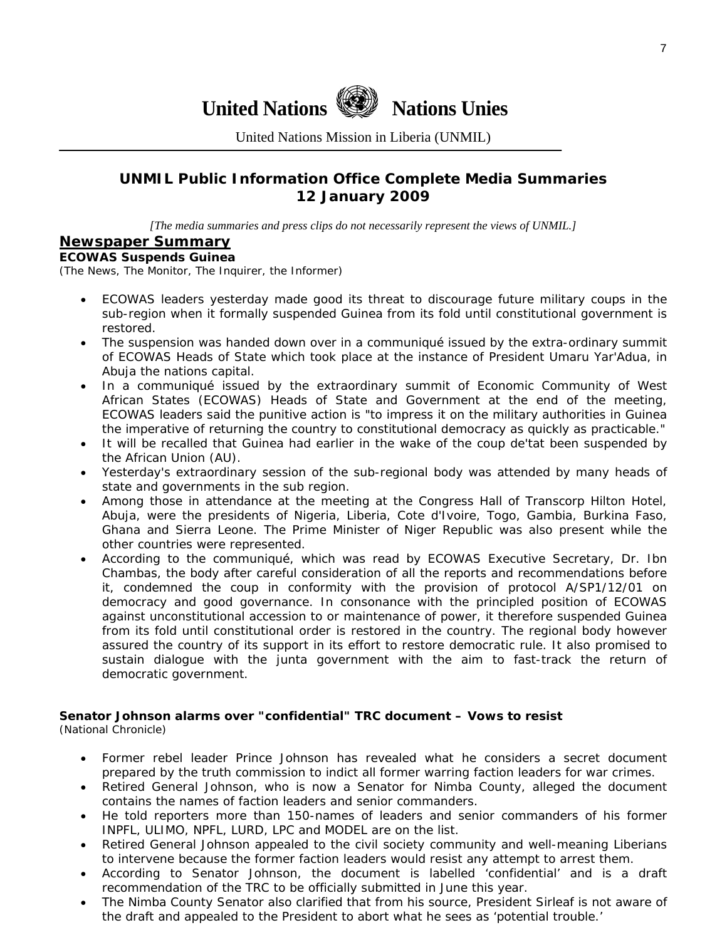

United Nations Mission in Liberia (UNMIL)

## **UNMIL Public Information Office Complete Media Summaries 12 January 2009**

*[The media summaries and press clips do not necessarily represent the views of UNMIL.]* 

#### **Newspaper Summary**

#### **ECOWAS Suspends Guinea**

(The News, The Monitor, The Inquirer, the Informer)

- ECOWAS leaders yesterday made good its threat to discourage future military coups in the sub-region when it formally suspended Guinea from its fold until constitutional government is restored.
- The suspension was handed down over in a communiqué issued by the extra-ordinary summit of ECOWAS Heads of State which took place at the instance of President Umaru Yar'Adua, in Abuja the nations capital.
- In a communiqué issued by the extraordinary summit of Economic Community of West African States (ECOWAS) Heads of State and Government at the end of the meeting, ECOWAS leaders said the punitive action is "to impress it on the military authorities in Guinea the imperative of returning the country to constitutional democracy as quickly as practicable."
- It will be recalled that Guinea had earlier in the wake of the coup de'tat been suspended by the African Union (AU).
- Yesterday's extraordinary session of the sub-regional body was attended by many heads of state and governments in the sub region.
- Among those in attendance at the meeting at the Congress Hall of Transcorp Hilton Hotel, Abuja, were the presidents of Nigeria, Liberia, Cote d'Ivoire, Togo, Gambia, Burkina Faso, Ghana and Sierra Leone. The Prime Minister of Niger Republic was also present while the other countries were represented.
- According to the communiqué, which was read by ECOWAS Executive Secretary, Dr. Ibn Chambas, the body after careful consideration of all the reports and recommendations before it, condemned the coup in conformity with the provision of protocol A/SP1/12/01 on democracy and good governance. In consonance with the principled position of ECOWAS against unconstitutional accession to or maintenance of power, it therefore suspended Guinea from its fold until constitutional order is restored in the country. The regional body however assured the country of its support in its effort to restore democratic rule. It also promised to sustain dialogue with the junta government with the aim to fast-track the return of democratic government.

# **Senator Johnson alarms over "confidential" TRC document – Vows to resist**

(National Chronicle)

- Former rebel leader Prince Johnson has revealed what he considers a secret document prepared by the truth commission to indict all former warring faction leaders for war crimes.
- Retired General Johnson, who is now a Senator for Nimba County, alleged the document contains the names of faction leaders and senior commanders.
- He told reporters more than 150-names of leaders and senior commanders of his former INPFL, ULIMO, NPFL, LURD, LPC and MODEL are on the list.
- Retired General Johnson appealed to the civil society community and well-meaning Liberians to intervene because the former faction leaders would resist any attempt to arrest them.
- According to Senator Johnson, the document is labelled 'confidential' and is a draft recommendation of the TRC to be officially submitted in June this year.
- The Nimba County Senator also clarified that from his source, President Sirleaf is not aware of the draft and appealed to the President to abort what he sees as 'potential trouble.'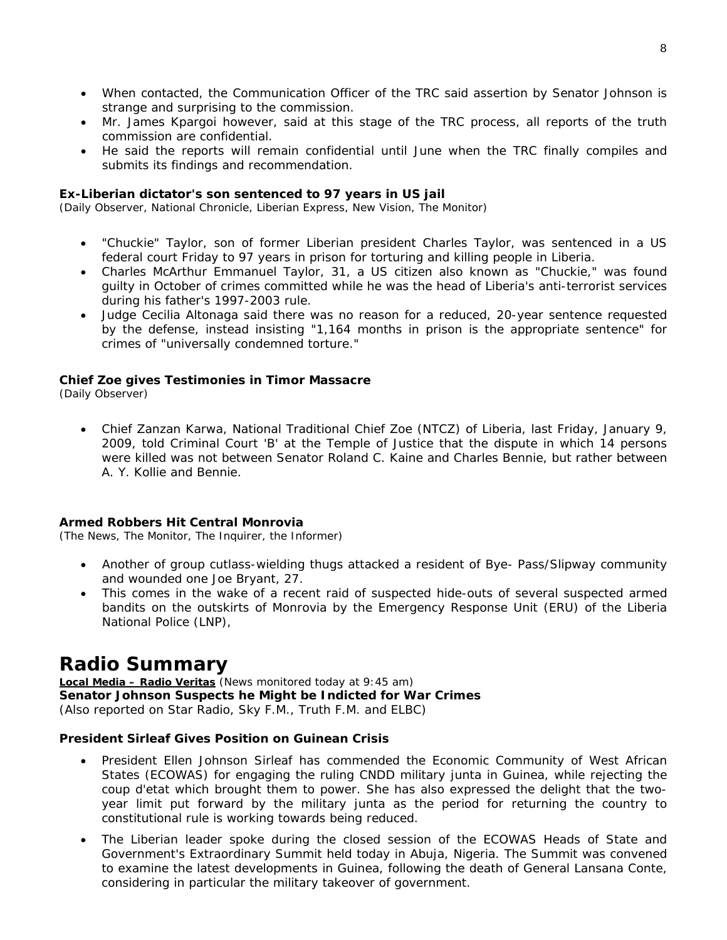- When contacted, the Communication Officer of the TRC said assertion by Senator Johnson is strange and surprising to the commission.
- Mr. James Kpargoi however, said at this stage of the TRC process, all reports of the truth commission are confidential.
- He said the reports will remain confidential until June when the TRC finally compiles and submits its findings and recommendation.

#### **Ex-Liberian dictator's son sentenced to 97 years in US jail**

(Daily Observer, National Chronicle, Liberian Express, New Vision, The Monitor)

- "Chuckie" Taylor, son of former Liberian president Charles Taylor, was sentenced in a US federal court Friday to 97 years in prison for torturing and killing people in Liberia.
- Charles McArthur Emmanuel Taylor, 31, a US citizen also known as "Chuckie," was found guilty in October of crimes committed while he was the head of Liberia's anti-terrorist services during his father's 1997-2003 rule.
- Judge Cecilia Altonaga said there was no reason for a reduced, 20-year sentence requested by the defense, instead insisting "1,164 months in prison is the appropriate sentence" for crimes of "universally condemned torture."

#### **Chief Zoe gives Testimonies in Timor Massacre**

(Daily Observer)

• Chief Zanzan Karwa, National Traditional Chief Zoe (NTCZ) of Liberia, last Friday, January 9, 2009, told Criminal Court 'B' at the Temple of Justice that the dispute in which 14 persons were killed was not between Senator Roland C. Kaine and Charles Bennie, but rather between A. Y. Kollie and Bennie.

#### **Armed Robbers Hit Central Monrovia**

(The News, The Monitor, The Inquirer, the Informer)

- Another of group cutlass-wielding thugs attacked a resident of Bye- Pass/Slipway community and wounded one Joe Bryant, 27.
- This comes in the wake of a recent raid of suspected hide-outs of several suspected armed bandits on the outskirts of Monrovia by the Emergency Response Unit (ERU) of the Liberia National Police (LNP),

# **Radio Summary**

**Local Media – Radio Veritas** *(News monitored today at 9:45 am)* **Senator Johnson Suspects he Might be Indicted for War Crimes**  (*Also reported on Star Radio, Sky F.M., Truth F.M. and ELBC*)

#### **President Sirleaf Gives Position on Guinean Crisis**

- President Ellen Johnson Sirleaf has commended the Economic Community of West African States (ECOWAS) for engaging the ruling CNDD military junta in Guinea, while rejecting the coup d'etat which brought them to power. She has also expressed the delight that the twoyear limit put forward by the military junta as the period for returning the country to constitutional rule is working towards being reduced.
- The Liberian leader spoke during the closed session of the ECOWAS Heads of State and Government's Extraordinary Summit held today in Abuja, Nigeria. The Summit was convened to examine the latest developments in Guinea, following the death of General Lansana Conte, considering in particular the military takeover of government.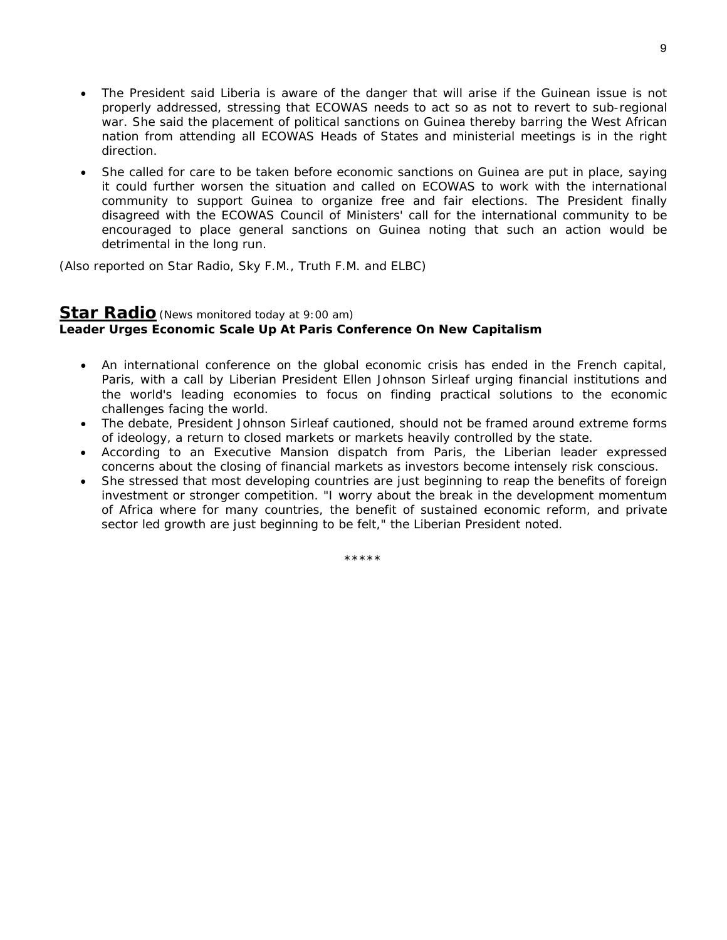- The President said Liberia is aware of the danger that will arise if the Guinean issue is not properly addressed, stressing that ECOWAS needs to act so as not to revert to sub-regional war. She said the placement of political sanctions on Guinea thereby barring the West African nation from attending all ECOWAS Heads of States and ministerial meetings is in the right direction.
- She called for care to be taken before economic sanctions on Guinea are put in place, saying it could further worsen the situation and called on ECOWAS to work with the international community to support Guinea to organize free and fair elections. The President finally disagreed with the ECOWAS Council of Ministers' call for the international community to be encouraged to place general sanctions on Guinea noting that such an action would be detrimental in the long run.

(*Also reported on Star Radio, Sky F.M., Truth F.M. and ELBC*)

## **Star Radio***(News monitored today at 9:00 am)* **Leader Urges Economic Scale Up At Paris Conference On New Capitalism**

- An international conference on the global economic crisis has ended in the French capital, Paris, with a call by Liberian President Ellen Johnson Sirleaf urging financial institutions and the world's leading economies to focus on finding practical solutions to the economic challenges facing the world.
- The debate, President Johnson Sirleaf cautioned, should not be framed around extreme forms of ideology, a return to closed markets or markets heavily controlled by the state.
- According to an Executive Mansion dispatch from Paris, the Liberian leader expressed concerns about the closing of financial markets as investors become intensely risk conscious.
- She stressed that most developing countries are just beginning to reap the benefits of foreign investment or stronger competition. "I worry about the break in the development momentum of Africa where for many countries, the benefit of sustained economic reform, and private sector led growth are just beginning to be felt," the Liberian President noted.

\*\*\*\*\*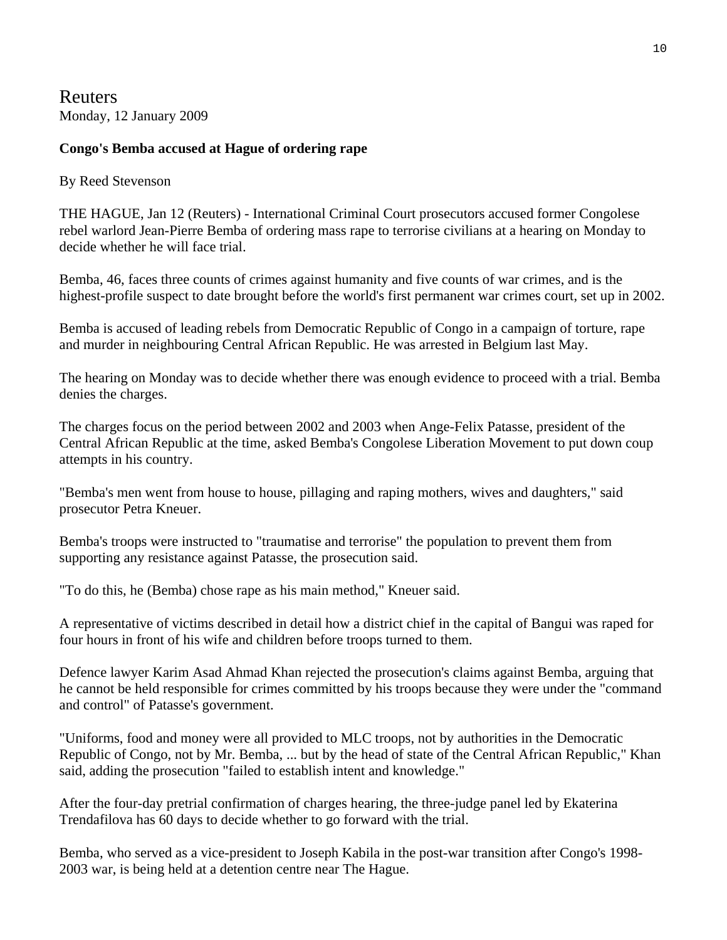Reuters Monday, 12 January 2009

## **Congo's Bemba accused at Hague of ordering rape**

### By Reed Stevenson

THE HAGUE, Jan 12 (Reuters) - International Criminal Court prosecutors accused former Congolese rebel warlord Jean-Pierre Bemba of ordering mass rape to terrorise civilians at a hearing on Monday to decide whether he will face trial.

Bemba, 46, faces three counts of crimes against humanity and five counts of war crimes, and is the highest-profile suspect to date brought before the world's first permanent war crimes court, set up in 2002.

Bemba is accused of leading rebels from Democratic Republic of Congo in a campaign of torture, rape and murder in neighbouring Central African Republic. He was arrested in Belgium last May.

The hearing on Monday was to decide whether there was enough evidence to proceed with a trial. Bemba denies the charges.

The charges focus on the period between 2002 and 2003 when Ange-Felix Patasse, president of the Central African Republic at the time, asked Bemba's Congolese Liberation Movement to put down coup attempts in his country.

"Bemba's men went from house to house, pillaging and raping mothers, wives and daughters," said prosecutor Petra Kneuer.

Bemba's troops were instructed to "traumatise and terrorise" the population to prevent them from supporting any resistance against Patasse, the prosecution said.

"To do this, he (Bemba) chose rape as his main method," Kneuer said.

A representative of victims described in detail how a district chief in the capital of Bangui was raped for four hours in front of his wife and children before troops turned to them.

Defence lawyer Karim Asad Ahmad Khan rejected the prosecution's claims against Bemba, arguing that he cannot be held responsible for crimes committed by his troops because they were under the "command and control" of Patasse's government.

"Uniforms, food and money were all provided to MLC troops, not by authorities in the Democratic Republic of Congo, not by Mr. Bemba, ... but by the head of state of the Central African Republic," Khan said, adding the prosecution "failed to establish intent and knowledge."

After the four-day pretrial confirmation of charges hearing, the three-judge panel led by Ekaterina Trendafilova has 60 days to decide whether to go forward with the trial.

Bemba, who served as a vice-president to Joseph Kabila in the post-war transition after Congo's 1998- 2003 war, is being held at a detention centre near The Hague.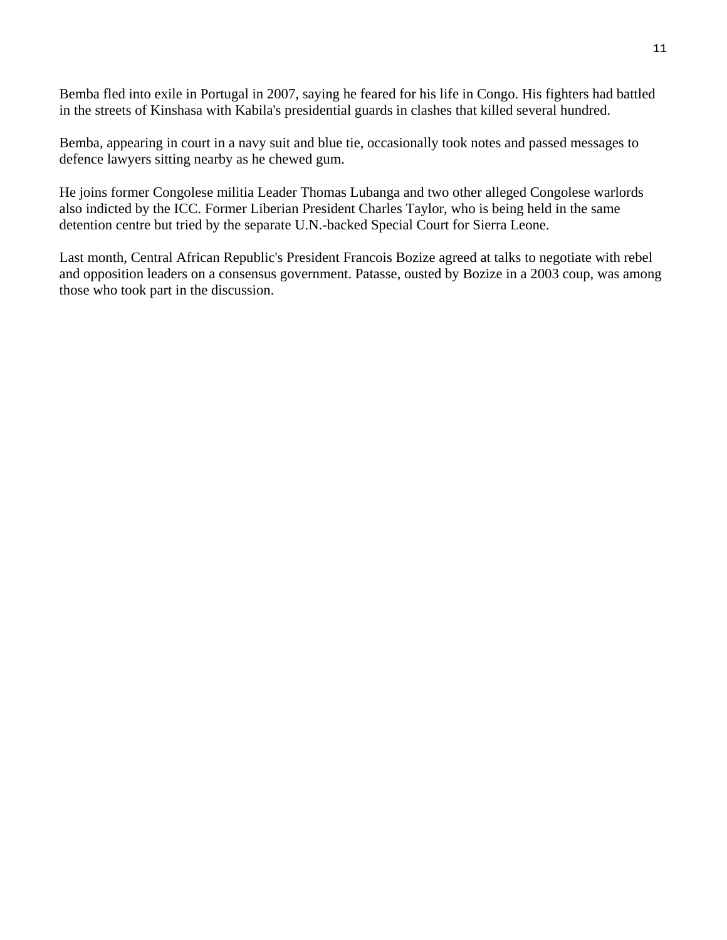Bemba fled into exile in Portugal in 2007, saying he feared for his life in Congo. His fighters had battled in the streets of Kinshasa with Kabila's presidential guards in clashes that killed several hundred.

Bemba, appearing in court in a navy suit and blue tie, occasionally took notes and passed messages to defence lawyers sitting nearby as he chewed gum.

He joins former Congolese militia Leader Thomas Lubanga and two other alleged Congolese warlords also indicted by the ICC. Former Liberian President Charles Taylor, who is being held in the same detention centre but tried by the separate U.N.-backed Special Court for Sierra Leone.

Last month, Central African Republic's President Francois Bozize agreed at talks to negotiate with rebel and opposition leaders on a consensus government. Patasse, ousted by Bozize in a 2003 coup, was among those who took part in the discussion.